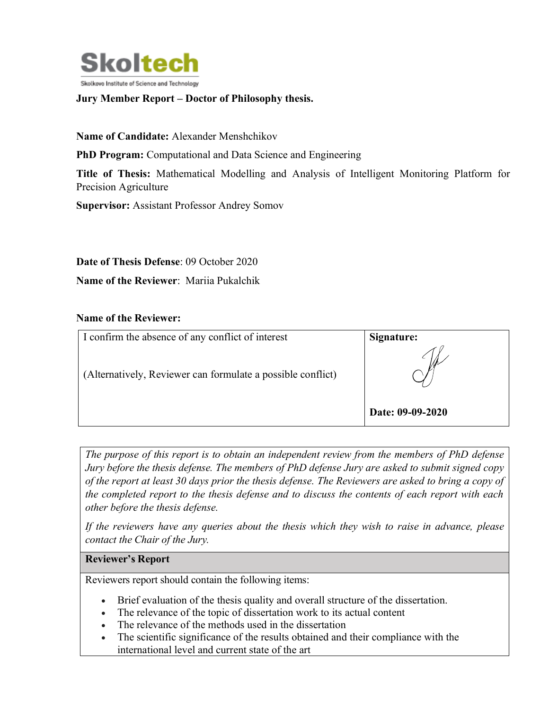

## **Jury Member Report ± Doctor of Philosophy thesis.**

**Name of Candidate:** Alexander Menshchikov

**PhD Program:** Computational and Data Science and Engineering

**Title of Thesis:** Mathematical Modelling and Analysis of Intelligent Monitoring Platform for Precision Agriculture

**Supervisor:** Assistant Professor Andrey Somov

**Date of Thesis Defense**: 09 October 2020

**Name of the Reviewer**: Mariia Pukalchik

### **Name of the Reviewer:**

| I confirm the absence of any conflict of interest           | Signature:       |
|-------------------------------------------------------------|------------------|
| (Alternatively, Reviewer can formulate a possible conflict) |                  |
|                                                             | Date: 09-09-2020 |

*The purpose of this report is to obtain an independent review from the members of PhD defense Jury before the thesis defense. The members of PhD defense Jury are asked to submit signed copy of the report at least 30 days prior the thesis defense. The Reviewers are asked to bring a copy of the completed report to the thesis defense and to discuss the contents of each report with each other before the thesis defense.* 

*If the reviewers have any queries about the thesis which they wish to raise in advance, please contact the Chair of the Jury.*

### **Reviewer's Report**

Reviewers report should contain the following items:

- Brief evaluation of the thesis quality and overall structure of the dissertation.
- The relevance of the topic of dissertation work to its actual content
- The relevance of the methods used in the dissertation
- The scientific significance of the results obtained and their compliance with the international level and current state of the art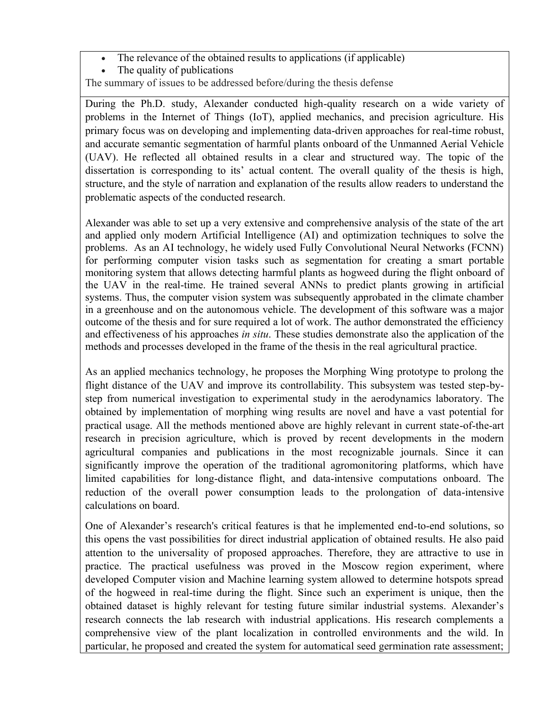- The relevance of the obtained results to applications (if applicable)
- The quality of publications

The summary of issues to be addressed before/during the thesis defense

During the Ph.D. study, Alexander conducted high-quality research on a wide variety of problems in the Internet of Things (IoT), applied mechanics, and precision agriculture. His primary focus was on developing and implementing data-driven approaches for real-time robust, and accurate semantic segmentation of harmful plants onboard of the Unmanned Aerial Vehicle (UAV). He reflected all obtained results in a clear and structured way. The topic of the dissertation is corresponding to its' actual content. The overall quality of the thesis is high, structure, and the style of narration and explanation of the results allow readers to understand the problematic aspects of the conducted research.

Alexander was able to set up a very extensive and comprehensive analysis of the state of the art and applied only modern Artificial Intelligence (AI) and optimization techniques to solve the problems. As an AI technology, he widely used Fully Convolutional Neural Networks (FCNN) for performing computer vision tasks such as segmentation for creating a smart portable monitoring system that allows detecting harmful plants as hogweed during the flight onboard of the UAV in the real-time. He trained several ANNs to predict plants growing in artificial systems. Thus, the computer vision system was subsequently approbated in the climate chamber in a greenhouse and on the autonomous vehicle. The development of this software was a major outcome of the thesis and for sure required a lot of work. The author demonstrated the efficiency and effectiveness of his approaches *in situ*. These studies demonstrate also the application of the methods and processes developed in the frame of the thesis in the real agricultural practice.

As an applied mechanics technology, he proposes the Morphing Wing prototype to prolong the flight distance of the UAV and improve its controllability. This subsystem was tested step-bystep from numerical investigation to experimental study in the aerodynamics laboratory. The obtained by implementation of morphing wing results are novel and have a vast potential for practical usage. All the methods mentioned above are highly relevant in current state-of-the-art research in precision agriculture, which is proved by recent developments in the modern agricultural companies and publications in the most recognizable journals. Since it can significantly improve the operation of the traditional agromonitoring platforms, which have limited capabilities for long-distance flight, and data-intensive computations onboard. The reduction of the overall power consumption leads to the prolongation of data-intensive calculations on board.

One of Alexander's research's critical features is that he implemented end-to-end solutions, so this opens the vast possibilities for direct industrial application of obtained results. He also paid attention to the universality of proposed approaches. Therefore, they are attractive to use in practice. The practical usefulness was proved in the Moscow region experiment, where developed Computer vision and Machine learning system allowed to determine hotspots spread of the hogweed in real-time during the flight. Since such an experiment is unique, then the obtained dataset is highly relevant for testing future similar industrial systems. Alexander's research connects the lab research with industrial applications. His research complements a comprehensive view of the plant localization in controlled environments and the wild. In particular, he proposed and created the system for automatical seed germination rate assessment;